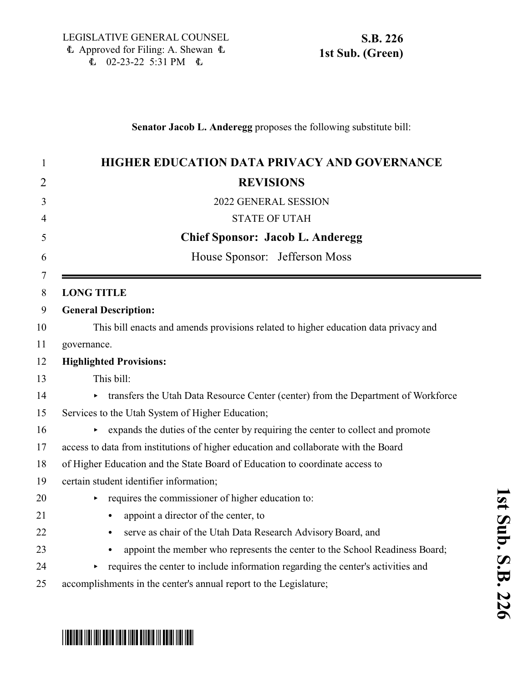### **Senator Jacob L. Anderegg** proposes the following substitute bill:

| 1              | HIGHER EDUCATION DATA PRIVACY AND GOVERNANCE                                             |
|----------------|------------------------------------------------------------------------------------------|
| $\overline{2}$ | <b>REVISIONS</b>                                                                         |
| 3              | 2022 GENERAL SESSION                                                                     |
| 4              | <b>STATE OF UTAH</b>                                                                     |
| 5              | <b>Chief Sponsor: Jacob L. Anderegg</b>                                                  |
| 6              | House Sponsor: Jefferson Moss                                                            |
| 7<br>8         | <b>LONG TITLE</b>                                                                        |
| 9              | <b>General Description:</b>                                                              |
| 10             | This bill enacts and amends provisions related to higher education data privacy and      |
| 11             | governance.                                                                              |
| 12             | <b>Highlighted Provisions:</b>                                                           |
| 13             | This bill:                                                                               |
| 14             | transfers the Utah Data Resource Center (center) from the Department of Workforce<br>▶   |
| 15             | Services to the Utah System of Higher Education;                                         |
| 16             | expands the duties of the center by requiring the center to collect and promote<br>Þ     |
| 17             | access to data from institutions of higher education and collaborate with the Board      |
| 18             | of Higher Education and the State Board of Education to coordinate access to             |
| 19             | certain student identifier information;                                                  |
| 20             | requires the commissioner of higher education to:<br>▶                                   |
| 21             | appoint a director of the center, to<br>$\bullet$                                        |
| 22             | serve as chair of the Utah Data Research Advisory Board, and<br>$\bullet$                |
| 23             | appoint the member who represents the center to the School Readiness Board;<br>$\bullet$ |
| 24             | requires the center to include information regarding the center's activities and<br>▶    |
|                |                                                                                          |

accomplishments in the center's annual report to the Legislature;

# \* SB0226 SO126 SO126 SO126 SO126 SO126 SO126 SO127 SO12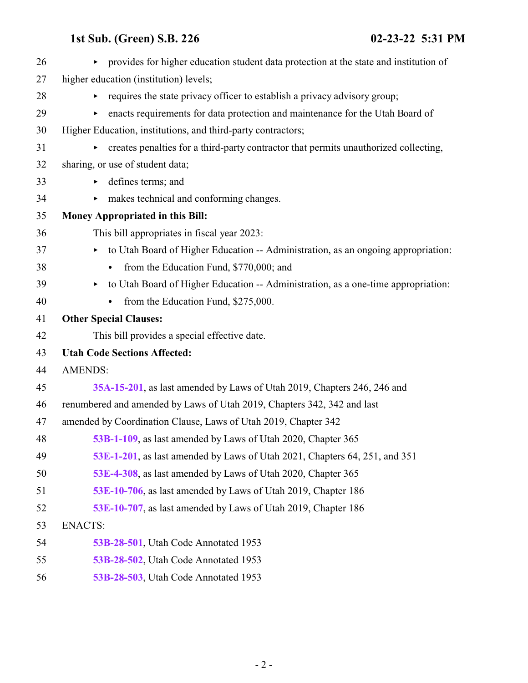| 26 | provides for higher education student data protection at the state and institution of<br>$\blacktriangleright$ |
|----|----------------------------------------------------------------------------------------------------------------|
| 27 | higher education (institution) levels;                                                                         |
| 28 | requires the state privacy officer to establish a privacy advisory group;<br>▶                                 |
| 29 | enacts requirements for data protection and maintenance for the Utah Board of                                  |
| 30 | Higher Education, institutions, and third-party contractors;                                                   |
| 31 | creates penalties for a third-party contractor that permits unauthorized collecting,<br>▶                      |
| 32 | sharing, or use of student data;                                                                               |
| 33 | defines terms; and<br>٠                                                                                        |
| 34 | makes technical and conforming changes.<br>▶                                                                   |
| 35 | <b>Money Appropriated in this Bill:</b>                                                                        |
| 36 | This bill appropriates in fiscal year 2023:                                                                    |
| 37 | to Utah Board of Higher Education -- Administration, as an ongoing appropriation:                              |
| 38 | from the Education Fund, \$770,000; and                                                                        |
| 39 | to Utah Board of Higher Education -- Administration, as a one-time appropriation:<br>Þ.                        |
| 40 | from the Education Fund, \$275,000.                                                                            |
| 41 | <b>Other Special Clauses:</b>                                                                                  |
| 42 | This bill provides a special effective date.                                                                   |
| 43 | <b>Utah Code Sections Affected:</b>                                                                            |
| 44 | <b>AMENDS:</b>                                                                                                 |
| 45 | 35A-15-201, as last amended by Laws of Utah 2019, Chapters 246, 246 and                                        |
| 46 | renumbered and amended by Laws of Utah 2019, Chapters 342, 342 and last                                        |
| 47 | amended by Coordination Clause, Laws of Utah 2019, Chapter 342                                                 |
| 48 | 53B-1-109, as last amended by Laws of Utah 2020, Chapter 365                                                   |
| 49 | 53E-1-201, as last amended by Laws of Utah 2021, Chapters 64, 251, and 351                                     |
| 50 | 53E-4-308, as last amended by Laws of Utah 2020, Chapter 365                                                   |
| 51 | 53E-10-706, as last amended by Laws of Utah 2019, Chapter 186                                                  |
| 52 | 53E-10-707, as last amended by Laws of Utah 2019, Chapter 186                                                  |
| 53 | <b>ENACTS:</b>                                                                                                 |
| 54 | 53B-28-501, Utah Code Annotated 1953                                                                           |
| 55 | 53B-28-502, Utah Code Annotated 1953                                                                           |
| 56 | 53B-28-503, Utah Code Annotated 1953                                                                           |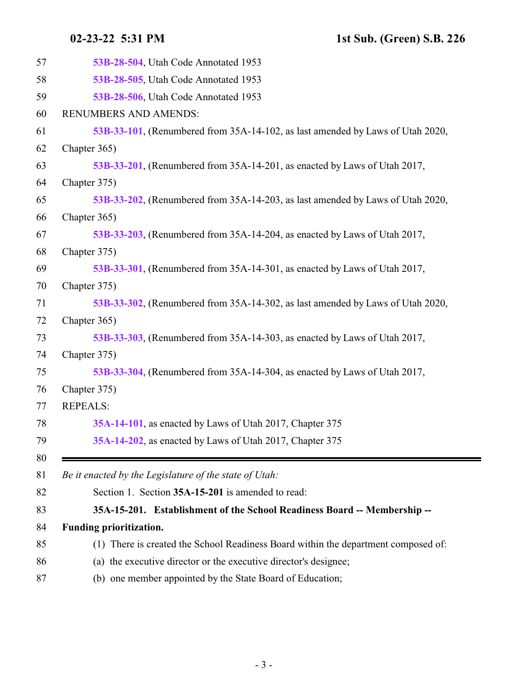<span id="page-2-0"></span>

| 57       | 53B-28-504, Utah Code Annotated 1953                                               |
|----------|------------------------------------------------------------------------------------|
| 58       | 53B-28-505, Utah Code Annotated 1953                                               |
| 59       | 53B-28-506, Utah Code Annotated 1953                                               |
| 60       | RENUMBERS AND AMENDS:                                                              |
| 61       | 53B-33-101, (Renumbered from 35A-14-102, as last amended by Laws of Utah 2020,     |
| 62       | Chapter 365)                                                                       |
| 63       | 53B-33-201, (Renumbered from 35A-14-201, as enacted by Laws of Utah 2017,          |
| 64       | Chapter 375)                                                                       |
| 65       | 53B-33-202, (Renumbered from 35A-14-203, as last amended by Laws of Utah 2020,     |
| 66       | Chapter 365)                                                                       |
| 67       | 53B-33-203, (Renumbered from 35A-14-204, as enacted by Laws of Utah 2017,          |
| 68       | Chapter 375)                                                                       |
| 69       | 53B-33-301, (Renumbered from 35A-14-301, as enacted by Laws of Utah 2017,          |
| 70       | Chapter 375)                                                                       |
| 71       | 53B-33-302, (Renumbered from 35A-14-302, as last amended by Laws of Utah 2020,     |
| 72       | Chapter 365)                                                                       |
| 73       | 53B-33-303, (Renumbered from 35A-14-303, as enacted by Laws of Utah 2017,          |
| 74       | Chapter 375)                                                                       |
| 75       | 53B-33-304, (Renumbered from 35A-14-304, as enacted by Laws of Utah 2017,          |
| 76       | Chapter 375)                                                                       |
| 77       | <b>REPEALS:</b>                                                                    |
| 78       | 35A-14-101, as enacted by Laws of Utah 2017, Chapter 375                           |
| 79       | 35A-14-202, as enacted by Laws of Utah 2017, Chapter 375                           |
| 80<br>81 | Be it enacted by the Legislature of the state of Utah:                             |
| 82       | Section 1. Section 35A-15-201 is amended to read:                                  |
| 83       | 35A-15-201. Establishment of the School Readiness Board -- Membership --           |
| 84       | Funding prioritization.                                                            |
| 85       | (1) There is created the School Readiness Board within the department composed of: |
| 86       | (a) the executive director or the executive director's designee;                   |
| 87       | (b) one member appointed by the State Board of Education;                          |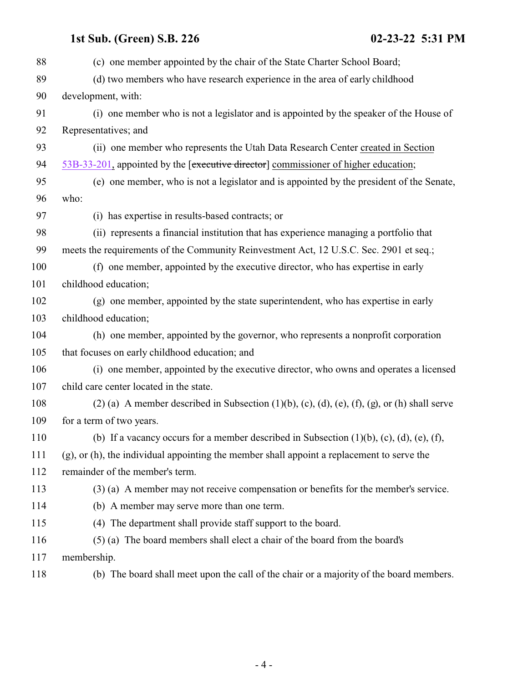| 88  | (c) one member appointed by the chair of the State Charter School Board;                                           |
|-----|--------------------------------------------------------------------------------------------------------------------|
| 89  | (d) two members who have research experience in the area of early childhood                                        |
| 90  | development, with:                                                                                                 |
| 91  | (i) one member who is not a legislator and is appointed by the speaker of the House of                             |
| 92  | Representatives; and                                                                                               |
| 93  | (ii) one member who represents the Utah Data Research Center created in Section                                    |
| 94  | 53B-33-201, appointed by the [executive director] commissioner of higher education;                                |
| 95  | (e) one member, who is not a legislator and is appointed by the president of the Senate,                           |
| 96  | who:                                                                                                               |
| 97  | (i) has expertise in results-based contracts; or                                                                   |
| 98  | (ii) represents a financial institution that has experience managing a portfolio that                              |
| 99  | meets the requirements of the Community Reinvestment Act, 12 U.S.C. Sec. 2901 et seq.;                             |
| 100 | (f) one member, appointed by the executive director, who has expertise in early                                    |
| 101 | childhood education;                                                                                               |
| 102 | (g) one member, appointed by the state superintendent, who has expertise in early                                  |
| 103 | childhood education;                                                                                               |
| 104 | (h) one member, appointed by the governor, who represents a nonprofit corporation                                  |
| 105 | that focuses on early childhood education; and                                                                     |
| 106 | (i) one member, appointed by the executive director, who owns and operates a licensed                              |
| 107 | child care center located in the state.                                                                            |
| 108 | $(2)$ (a) A member described in Subsection $(1)(b)$ , $(c)$ , $(d)$ , $(e)$ , $(f)$ , $(g)$ , or $(h)$ shall serve |
| 109 | for a term of two years.                                                                                           |
| 110 | (b) If a vacancy occurs for a member described in Subsection $(1)(b)$ , $(c)$ , $(d)$ , $(e)$ , $(f)$ ,            |
| 111 | $(g)$ , or (h), the individual appointing the member shall appoint a replacement to serve the                      |
| 112 | remainder of the member's term.                                                                                    |
| 113 | (3) (a) A member may not receive compensation or benefits for the member's service.                                |
| 114 | (b) A member may serve more than one term.                                                                         |
| 115 | (4) The department shall provide staff support to the board.                                                       |
| 116 | (5) (a) The board members shall elect a chair of the board from the board's                                        |
| 117 | membership.                                                                                                        |
| 118 | (b) The board shall meet upon the call of the chair or a majority of the board members.                            |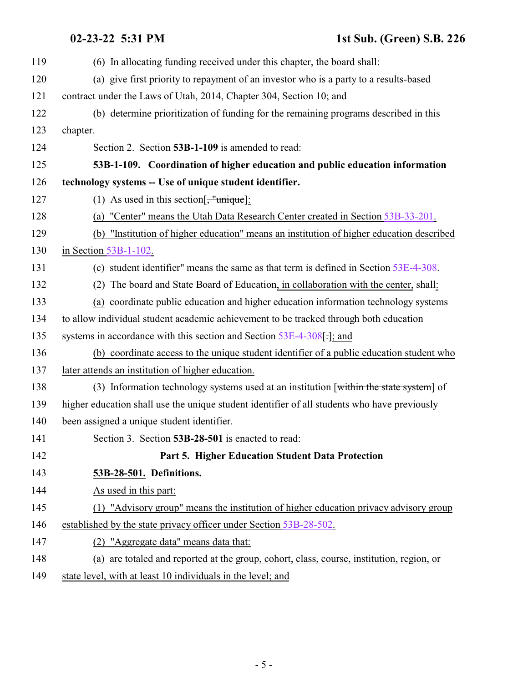### <span id="page-4-1"></span><span id="page-4-0"></span>**02-23-22 5:31 PM 1st Sub. (Green) S.B. 226**

| $02 - 23 - 22$ 5:31 PM |  |
|------------------------|--|
|                        |  |

| 119 | (6) In allocating funding received under this chapter, the board shall:                      |
|-----|----------------------------------------------------------------------------------------------|
| 120 | (a) give first priority to repayment of an investor who is a party to a results-based        |
| 121 | contract under the Laws of Utah, 2014, Chapter 304, Section 10; and                          |
| 122 | (b) determine prioritization of funding for the remaining programs described in this         |
| 123 | chapter.                                                                                     |
| 124 | Section 2. Section 53B-1-109 is amended to read:                                             |
| 125 | 53B-1-109. Coordination of higher education and public education information                 |
| 126 | technology systems -- Use of unique student identifier.                                      |
| 127 | (1) As used in this section $\left[\frac{1}{2}, \frac{1}{2}\right]$ :                        |
| 128 | (a) "Center" means the Utah Data Research Center created in Section 53B-33-201.              |
| 129 | (b) "Institution of higher education" means an institution of higher education described     |
| 130 | in Section 53B-1-102.                                                                        |
| 131 | (c) student identifier" means the same as that term is defined in Section 53E-4-308.         |
| 132 | (2) The board and State Board of Education, in collaboration with the center, shall:         |
| 133 | (a) coordinate public education and higher education information technology systems          |
| 134 | to allow individual student academic achievement to be tracked through both education        |
| 135 | systems in accordance with this section and Section 53E-4-308[.]; and                        |
| 136 | (b) coordinate access to the unique student identifier of a public education student who     |
| 137 | later attends an institution of higher education.                                            |
| 138 | (3) Information technology systems used at an institution [within the state system] of       |
| 139 | higher education shall use the unique student identifier of all students who have previously |
| 140 | been assigned a unique student identifier.                                                   |
| 141 | Section 3. Section 53B-28-501 is enacted to read:                                            |
| 142 | Part 5. Higher Education Student Data Protection                                             |
| 143 | 53B-28-501. Definitions.                                                                     |
| 144 | As used in this part:                                                                        |
| 145 | (1) "Advisory group" means the institution of higher education privacy advisory group        |
| 146 | established by the state privacy officer under Section 53B-28-502.                           |
| 147 | (2) "Aggregate data" means data that:                                                        |
| 148 | (a) are totaled and reported at the group, cohort, class, course, institution, region, or    |
| 149 | state level, with at least 10 individuals in the level; and                                  |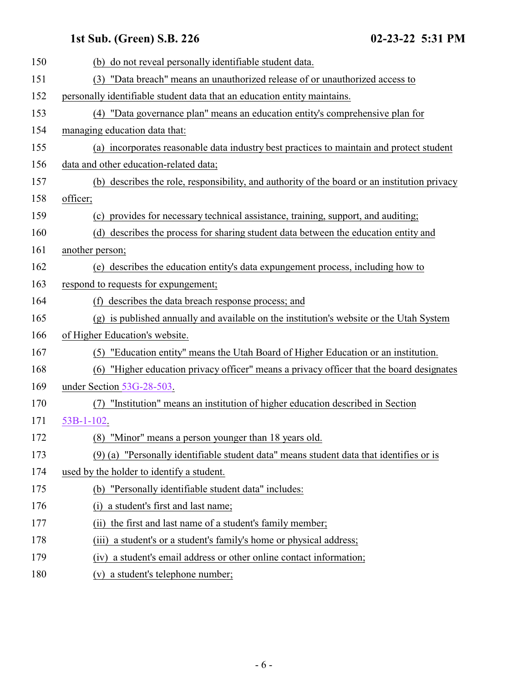| 150 | (b) do not reveal personally identifiable student data.                                      |
|-----|----------------------------------------------------------------------------------------------|
| 151 | (3) "Data breach" means an unauthorized release of or unauthorized access to                 |
| 152 | personally identifiable student data that an education entity maintains.                     |
| 153 | (4) "Data governance plan" means an education entity's comprehensive plan for                |
| 154 | managing education data that:                                                                |
| 155 | (a) incorporates reasonable data industry best practices to maintain and protect student     |
| 156 | data and other education-related data;                                                       |
| 157 | (b) describes the role, responsibility, and authority of the board or an institution privacy |
| 158 | officer;                                                                                     |
| 159 | (c) provides for necessary technical assistance, training, support, and auditing;            |
| 160 | (d) describes the process for sharing student data between the education entity and          |
| 161 | another person;                                                                              |
| 162 | (e) describes the education entity's data expungement process, including how to              |
| 163 | respond to requests for expungement;                                                         |
| 164 | (f) describes the data breach response process; and                                          |
| 165 | (g) is published annually and available on the institution's website or the Utah System      |
| 166 | of Higher Education's website.                                                               |
| 167 | (5) "Education entity" means the Utah Board of Higher Education or an institution.           |
| 168 | "Higher education privacy officer" means a privacy officer that the board designates<br>(6)  |
| 169 | under Section 53G-28-503.                                                                    |
| 170 | "Institution" means an institution of higher education described in Section<br>(7)           |
| 171 | 53B-1-102.                                                                                   |
| 172 | (8) "Minor" means a person younger than 18 years old.                                        |
| 173 | (9) (a) "Personally identifiable student data" means student data that identifies or is      |
| 174 | used by the holder to identify a student.                                                    |
| 175 | (b) "Personally identifiable student data" includes:                                         |
| 176 | a student's first and last name;<br>(i)                                                      |
| 177 | the first and last name of a student's family member;<br>(i)                                 |
| 178 | a student's or a student's family's home or physical address;<br>(iii)                       |
| 179 | a student's email address or other online contact information;<br>(1V)                       |
| 180 | a student's telephone number;<br>(V)                                                         |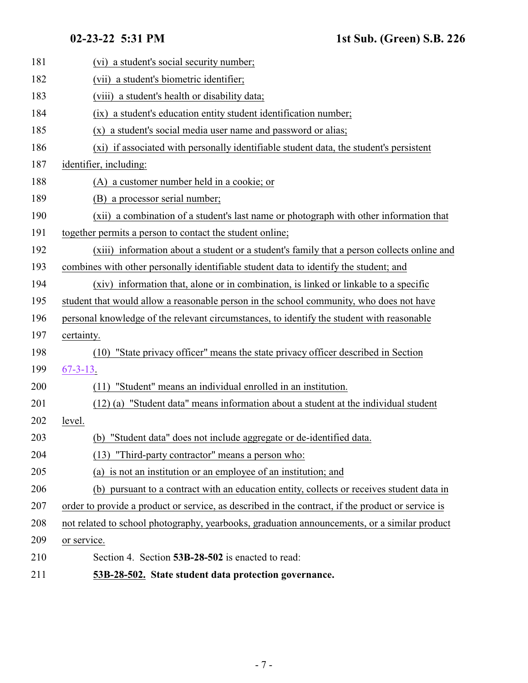<span id="page-6-0"></span>

| 181 | (vi) a student's social security number;                                                          |
|-----|---------------------------------------------------------------------------------------------------|
| 182 | (vii) a student's biometric identifier;                                                           |
| 183 | (viii) a student's health or disability data;                                                     |
| 184 | a student's education entity student identification number;<br>(ix)                               |
| 185 | (x) a student's social media user name and password or alias;                                     |
| 186 | (xi) if associated with personally identifiable student data, the student's persistent            |
| 187 | identifier, including:                                                                            |
| 188 | (A) a customer number held in a cookie; or                                                        |
| 189 | (B) a processor serial number;                                                                    |
| 190 | (xii) a combination of a student's last name or photograph with other information that            |
| 191 | together permits a person to contact the student online;                                          |
| 192 | (xiii) information about a student or a student's family that a person collects online and        |
| 193 | combines with other personally identifiable student data to identify the student; and             |
| 194 | (xiv) information that, alone or in combination, is linked or linkable to a specific              |
| 195 | student that would allow a reasonable person in the school community, who does not have           |
| 196 | personal knowledge of the relevant circumstances, to identify the student with reasonable         |
| 197 | certainty.                                                                                        |
| 198 | "State privacy officer" means the state privacy officer described in Section<br>(10)              |
| 199 | $67 - 3 - 13$ .                                                                                   |
| 200 | "Student" means an individual enrolled in an institution.<br>(11)                                 |
| 201 | (12) (a) "Student data" means information about a student at the individual student               |
| 202 | level.                                                                                            |
| 203 | (b) "Student data" does not include aggregate or de-identified data.                              |
| 204 | (13) "Third-party contractor" means a person who:                                                 |
| 205 | (a) is not an institution or an employee of an institution; and                                   |
| 206 | (b) pursuant to a contract with an education entity, collects or receives student data in         |
| 207 | order to provide a product or service, as described in the contract, if the product or service is |
| 208 | not related to school photography, yearbooks, graduation announcements, or a similar product      |
| 209 | or service.                                                                                       |
| 210 | Section 4. Section 53B-28-502 is enacted to read:                                                 |
| 211 | 53B-28-502. State student data protection governance.                                             |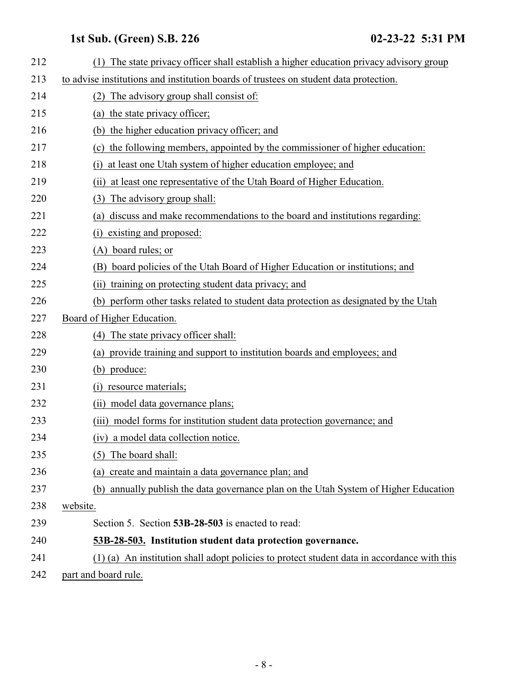<span id="page-7-0"></span>

| 212 | The state privacy officer shall establish a higher education privacy advisory group<br>(1)  |
|-----|---------------------------------------------------------------------------------------------|
| 213 | to advise institutions and institution boards of trustees on student data protection.       |
| 214 | The advisory group shall consist of:<br>(2)                                                 |
| 215 | the state privacy officer;<br>(a)                                                           |
| 216 | (b) the higher education privacy officer; and                                               |
| 217 | (c) the following members, appointed by the commissioner of higher education:               |
| 218 | at least one Utah system of higher education employee; and<br>(i)                           |
| 219 | (ii) at least one representative of the Utah Board of Higher Education.                     |
| 220 | The advisory group shall:<br>(3)                                                            |
| 221 | discuss and make recommendations to the board and institutions regarding:<br>(a)            |
| 222 | existing and proposed:<br>(i)                                                               |
| 223 | (A) board rules; or                                                                         |
| 224 | (B) board policies of the Utah Board of Higher Education or institutions; and               |
| 225 | training on protecting student data privacy; and<br>(ii)                                    |
| 226 | (b) perform other tasks related to student data protection as designated by the Utah        |
| 227 | Board of Higher Education.                                                                  |
| 228 | (4) The state privacy officer shall:                                                        |
| 229 | provide training and support to institution boards and employees; and<br>(a)                |
| 230 | (b) produce:                                                                                |
| 231 | resource materials;<br>$\left( i\right)$                                                    |
| 232 | model data governance plans;<br>(i)                                                         |
| 233 | (iii) model forms for institution student data protection governance; and                   |
| 234 | (iv) a model data collection notice.                                                        |
| 235 | The board shall:<br>(5)                                                                     |
| 236 | create and maintain a data governance plan; and<br>(a)                                      |
| 237 | (b) annually publish the data governance plan on the Utah System of Higher Education        |
| 238 | website.                                                                                    |
| 239 | Section 5. Section 53B-28-503 is enacted to read:                                           |
| 240 | 53B-28-503. Institution student data protection governance.                                 |
| 241 | (1) (a) An institution shall adopt policies to protect student data in accordance with this |
| 242 | part and board rule.                                                                        |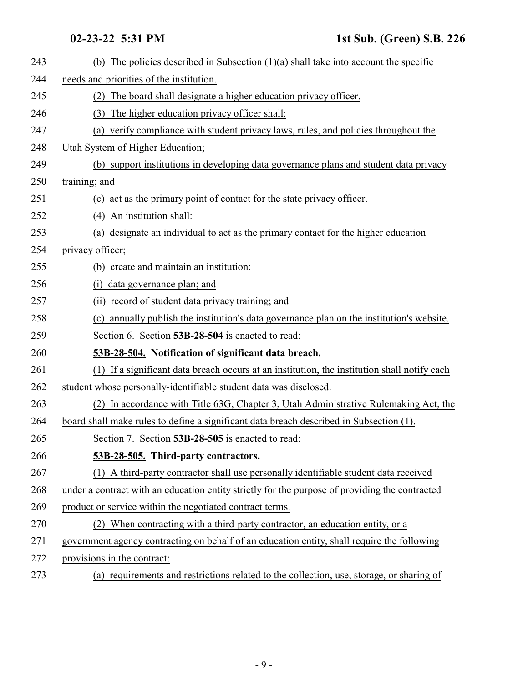<span id="page-8-1"></span><span id="page-8-0"></span>

| 243 | (b) The policies described in Subsection $(1)(a)$ shall take into account the specific         |
|-----|------------------------------------------------------------------------------------------------|
| 244 | needs and priorities of the institution.                                                       |
| 245 | The board shall designate a higher education privacy officer.<br>(2)                           |
| 246 | The higher education privacy officer shall:<br>(3)                                             |
| 247 | (a) verify compliance with student privacy laws, rules, and policies throughout the            |
| 248 | Utah System of Higher Education;                                                               |
| 249 | (b) support institutions in developing data governance plans and student data privacy          |
| 250 | training; and                                                                                  |
| 251 | (c) act as the primary point of contact for the state privacy officer.                         |
| 252 | (4) An institution shall:                                                                      |
| 253 | (a) designate an individual to act as the primary contact for the higher education             |
| 254 | privacy officer;                                                                               |
| 255 | (b) create and maintain an institution:                                                        |
| 256 | (i) data governance plan; and                                                                  |
| 257 | (ii) record of student data privacy training; and                                              |
| 258 | (c) annually publish the institution's data governance plan on the institution's website.      |
| 259 | Section 6. Section 53B-28-504 is enacted to read:                                              |
| 260 | 53B-28-504. Notification of significant data breach.                                           |
| 261 | (1) If a significant data breach occurs at an institution, the institution shall notify each   |
| 262 | student whose personally-identifiable student data was disclosed.                              |
| 263 | In accordance with Title 63G, Chapter 3, Utah Administrative Rulemaking Act, the               |
| 264 | board shall make rules to define a significant data breach described in Subsection (1).        |
| 265 | Section 7. Section 53B-28-505 is enacted to read:                                              |
| 266 | 53B-28-505. Third-party contractors.                                                           |
| 267 | (1) A third-party contractor shall use personally identifiable student data received           |
| 268 | under a contract with an education entity strictly for the purpose of providing the contracted |
| 269 | product or service within the negotiated contract terms.                                       |
| 270 | (2) When contracting with a third-party contractor, an education entity, or a                  |
| 271 | government agency contracting on behalf of an education entity, shall require the following    |
| 272 | provisions in the contract:                                                                    |
| 273 | (a) requirements and restrictions related to the collection, use, storage, or sharing of       |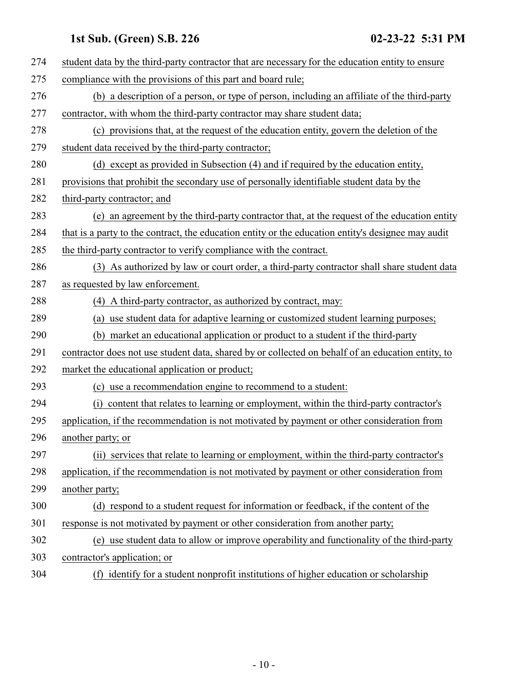| 274 | student data by the third-party contractor that are necessary for the education entity to ensure   |
|-----|----------------------------------------------------------------------------------------------------|
| 275 | compliance with the provisions of this part and board rule;                                        |
| 276 | (b) a description of a person, or type of person, including an affiliate of the third-party        |
| 277 | contractor, with whom the third-party contractor may share student data;                           |
| 278 | (c) provisions that, at the request of the education entity, govern the deletion of the            |
| 279 | student data received by the third-party contractor;                                               |
| 280 | (d) except as provided in Subsection (4) and if required by the education entity,                  |
| 281 | provisions that prohibit the secondary use of personally identifiable student data by the          |
| 282 | third-party contractor; and                                                                        |
| 283 | (e) an agreement by the third-party contractor that, at the request of the education entity        |
| 284 | that is a party to the contract, the education entity or the education entity's designee may audit |
| 285 | the third-party contractor to verify compliance with the contract.                                 |
| 286 | (3) As authorized by law or court order, a third-party contractor shall share student data         |
| 287 | as requested by law enforcement.                                                                   |
| 288 | (4) A third-party contractor, as authorized by contract, may:                                      |
| 289 | (a) use student data for adaptive learning or customized student learning purposes;                |
| 290 | (b) market an educational application or product to a student if the third-party                   |
| 291 | contractor does not use student data, shared by or collected on behalf of an education entity, to  |
| 292 | market the educational application or product;                                                     |
| 293 | (c) use a recommendation engine to recommend to a student:                                         |
| 294 | content that relates to learning or employment, within the third-party contractor's<br>(i)         |
| 295 | application, if the recommendation is not motivated by payment or other consideration from         |
| 296 | another party; or                                                                                  |
| 297 | (ii) services that relate to learning or employment, within the third-party contractor's           |
| 298 | application, if the recommendation is not motivated by payment or other consideration from         |
| 299 | another party;                                                                                     |
| 300 | (d) respond to a student request for information or feedback, if the content of the                |
| 301 | response is not motivated by payment or other consideration from another party;                    |
| 302 | (e) use student data to allow or improve operability and functionality of the third-party          |
| 303 | contractor's application; or                                                                       |
| 304 | (f) identify for a student nonprofit institutions of higher education or scholarship               |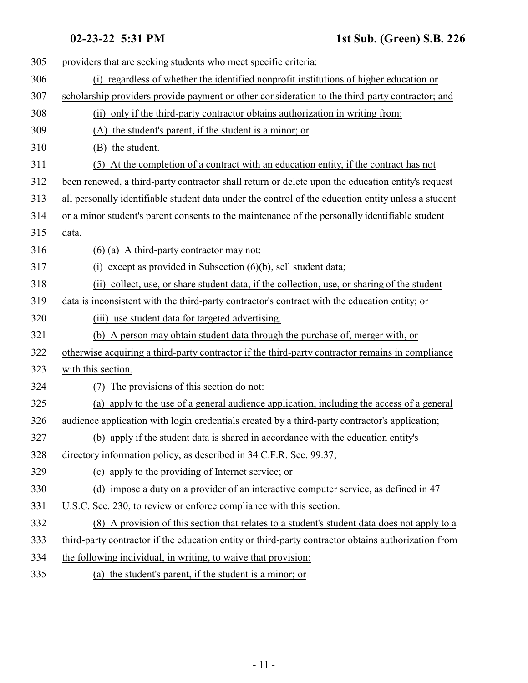| 305 | providers that are seeking students who meet specific criteria:                                     |
|-----|-----------------------------------------------------------------------------------------------------|
| 306 | (i) regardless of whether the identified nonprofit institutions of higher education or              |
| 307 | scholarship providers provide payment or other consideration to the third-party contractor; and     |
| 308 | (ii) only if the third-party contractor obtains authorization in writing from:                      |
| 309 | (A) the student's parent, if the student is a minor; or                                             |
| 310 | (B) the student.                                                                                    |
| 311 | At the completion of a contract with an education entity, if the contract has not<br>(5)            |
| 312 | been renewed, a third-party contractor shall return or delete upon the education entity's request   |
| 313 | all personally identifiable student data under the control of the education entity unless a student |
| 314 | or a minor student's parent consents to the maintenance of the personally identifiable student      |
| 315 | data.                                                                                               |
| 316 | $(6)$ (a) A third-party contractor may not:                                                         |
| 317 | except as provided in Subsection $(6)(b)$ , sell student data;<br>(i)                               |
| 318 | (ii) collect, use, or share student data, if the collection, use, or sharing of the student         |
| 319 | data is inconsistent with the third-party contractor's contract with the education entity; or       |
| 320 | (iii) use student data for targeted advertising.                                                    |
| 321 | (b) A person may obtain student data through the purchase of, merger with, or                       |
| 322 | otherwise acquiring a third-party contractor if the third-party contractor remains in compliance    |
| 323 | with this section.                                                                                  |
| 324 | The provisions of this section do not:                                                              |
| 325 | (a) apply to the use of a general audience application, including the access of a general           |
| 326 | audience application with login credentials created by a third-party contractor's application;      |
| 327 | (b) apply if the student data is shared in accordance with the education entity's                   |
| 328 | directory information policy, as described in 34 C.F.R. Sec. 99.37;                                 |
| 329 | (c) apply to the providing of Internet service; or                                                  |
| 330 | (d) impose a duty on a provider of an interactive computer service, as defined in 47                |
| 331 | U.S.C. Sec. 230, to review or enforce compliance with this section.                                 |
| 332 | (8) A provision of this section that relates to a student's student data does not apply to a        |
| 333 | third-party contractor if the education entity or third-party contractor obtains authorization from |
| 334 | the following individual, in writing, to waive that provision:                                      |
| 335 | (a) the student's parent, if the student is a minor; or                                             |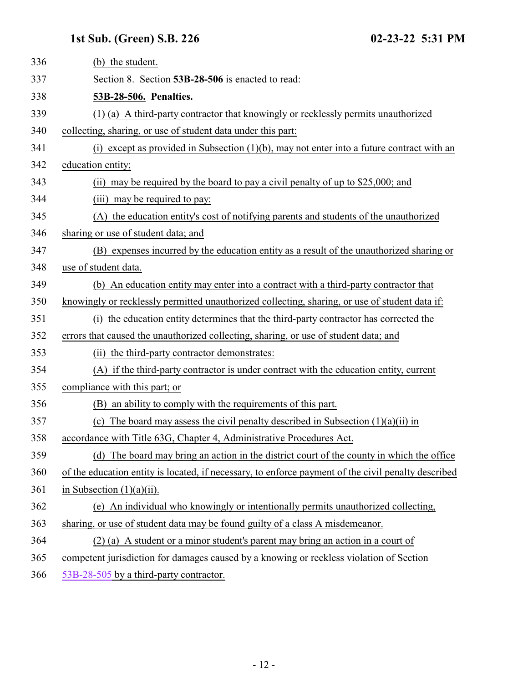<span id="page-11-0"></span>

| 336 | (b) the student.                                                                                    |
|-----|-----------------------------------------------------------------------------------------------------|
| 337 | Section 8. Section 53B-28-506 is enacted to read:                                                   |
| 338 | 53B-28-506. Penalties.                                                                              |
| 339 | (1) (a) A third-party contractor that knowingly or recklessly permits unauthorized                  |
| 340 | collecting, sharing, or use of student data under this part:                                        |
| 341 | (i) except as provided in Subsection $(1)(b)$ , may not enter into a future contract with an        |
| 342 | education entity;                                                                                   |
| 343 | (ii) may be required by the board to pay a civil penalty of up to \$25,000; and                     |
| 344 | (iii) may be required to pay:                                                                       |
| 345 | (A) the education entity's cost of notifying parents and students of the unauthorized               |
| 346 | sharing or use of student data; and                                                                 |
| 347 | (B) expenses incurred by the education entity as a result of the unauthorized sharing or            |
| 348 | use of student data.                                                                                |
| 349 | (b) An education entity may enter into a contract with a third-party contractor that                |
| 350 | knowingly or recklessly permitted unauthorized collecting, sharing, or use of student data if:      |
| 351 | (i) the education entity determines that the third-party contractor has corrected the               |
| 352 | errors that caused the unauthorized collecting, sharing, or use of student data; and                |
| 353 | (ii) the third-party contractor demonstrates:                                                       |
| 354 | (A) if the third-party contractor is under contract with the education entity, current              |
| 355 | compliance with this part; or                                                                       |
| 356 | (B) an ability to comply with the requirements of this part.                                        |
| 357 | The board may assess the civil penalty described in Subsection $(1)(a)(ii)$ in<br>(c)               |
| 358 | accordance with Title 63G, Chapter 4, Administrative Procedures Act.                                |
| 359 | (d) The board may bring an action in the district court of the county in which the office           |
| 360 | of the education entity is located, if necessary, to enforce payment of the civil penalty described |
| 361 | in Subsection $(1)(a)(ii)$ .                                                                        |
| 362 | (e) An individual who knowingly or intentionally permits unauthorized collecting,                   |
| 363 | sharing, or use of student data may be found guilty of a class A misdemeanor.                       |
| 364 | (2) (a) A student or a minor student's parent may bring an action in a court of                     |
| 365 | competent jurisdiction for damages caused by a knowing or reckless violation of Section             |
| 366 | 53B-28-505 by a third-party contractor.                                                             |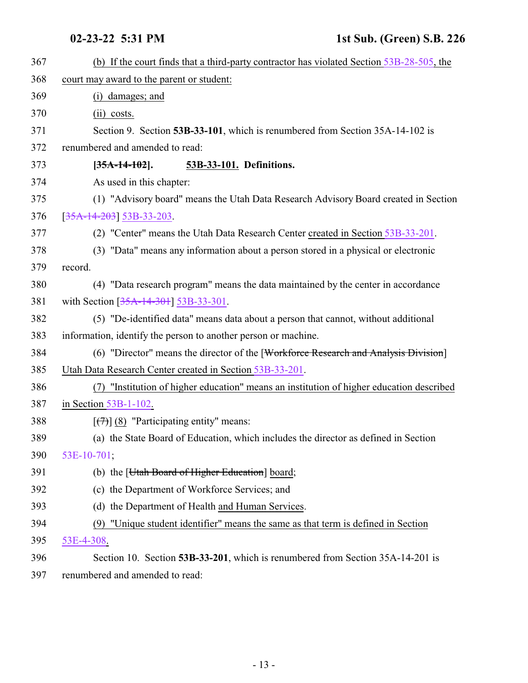<span id="page-12-1"></span><span id="page-12-0"></span>

| 367 | (b) If the court finds that a third-party contractor has violated Section 53B-28-505, the   |
|-----|---------------------------------------------------------------------------------------------|
| 368 | court may award to the parent or student:                                                   |
| 369 | (i) damages; and                                                                            |
| 370 | $(ii) \; \text{costs.}$                                                                     |
| 371 | Section 9. Section 53B-33-101, which is renumbered from Section 35A-14-102 is               |
| 372 | renumbered and amended to read:                                                             |
| 373 | 53B-33-101. Definitions.<br>$[35A-14-102]$ .                                                |
| 374 | As used in this chapter:                                                                    |
| 375 | (1) "Advisory board" means the Utah Data Research Advisory Board created in Section         |
| 376 | $[35A-14-203]$ 53B-33-203.                                                                  |
| 377 | (2) "Center" means the Utah Data Research Center created in Section 53B-33-201.             |
| 378 | (3) "Data" means any information about a person stored in a physical or electronic          |
| 379 | record.                                                                                     |
| 380 | (4) "Data research program" means the data maintained by the center in accordance           |
| 381 | with Section [35A-14-301] 53B-33-301.                                                       |
| 382 | (5) "De-identified data" means data about a person that cannot, without additional          |
| 383 | information, identify the person to another person or machine.                              |
| 384 | (6) "Director" means the director of the [Workforce Research and Analysis Division]         |
| 385 | Utah Data Research Center created in Section 53B-33-201.                                    |
| 386 | "Institution of higher education" means an institution of higher education described<br>(7) |
| 387 | in Section $53B-1-102$ .                                                                    |
| 388 | $[\overline{77}]$ (8) "Participating entity" means:                                         |
| 389 | (a) the State Board of Education, which includes the director as defined in Section         |
| 390 | 53E-10-701;                                                                                 |
| 391 | (b) the [ <i>Utah Board of Higher Education</i> ] board;                                    |
| 392 | (c) the Department of Workforce Services; and                                               |
| 393 | (d) the Department of Health and Human Services.                                            |
| 394 | "Unique student identifier" means the same as that term is defined in Section<br>(9)        |
| 395 | 53E-4-308.                                                                                  |
| 396 | Section 10. Section 53B-33-201, which is renumbered from Section 35A-14-201 is              |
| 397 | renumbered and amended to read:                                                             |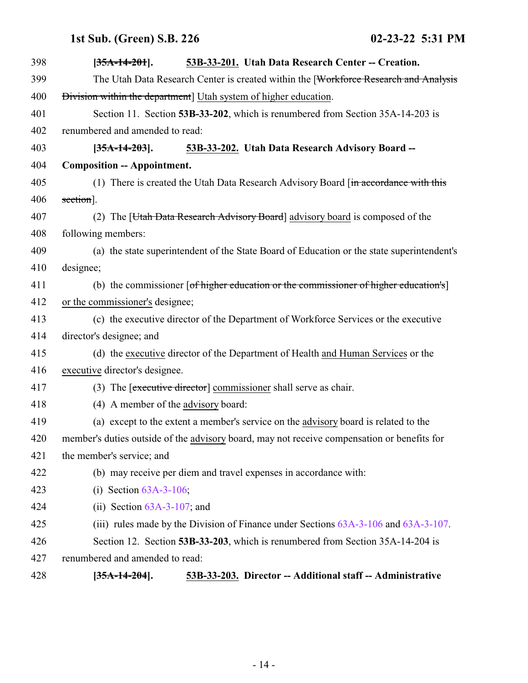<span id="page-13-0"></span>

<span id="page-13-1"></span>

| 398 | $[35A-14-201]$ .                                                 | 53B-33-201. Utah Data Research Center -- Creation.                                          |
|-----|------------------------------------------------------------------|---------------------------------------------------------------------------------------------|
| 399 |                                                                  | The Utah Data Research Center is created within the [Workforce Research and Analysis        |
| 400 | Division within the department] Utah system of higher education. |                                                                                             |
| 401 |                                                                  | Section 11. Section 53B-33-202, which is renumbered from Section 35A-14-203 is              |
| 402 | renumbered and amended to read:                                  |                                                                                             |
| 403 | $[35A-14-203]$ .                                                 | 53B-33-202. Utah Data Research Advisory Board --                                            |
| 404 | <b>Composition -- Appointment.</b>                               |                                                                                             |
| 405 |                                                                  | (1) There is created the Utah Data Research Advisory Board [in accordance with this         |
| 406 | section].                                                        |                                                                                             |
| 407 |                                                                  | (2) The [Utah Data Research Advisory Board] advisory board is composed of the               |
| 408 | following members:                                               |                                                                                             |
| 409 |                                                                  | (a) the state superintendent of the State Board of Education or the state superintendent's  |
| 410 | designee;                                                        |                                                                                             |
| 411 |                                                                  | (b) the commissioner [of higher education or the commissioner of higher education's]        |
| 412 | or the commissioner's designee;                                  |                                                                                             |
| 413 |                                                                  | (c) the executive director of the Department of Workforce Services or the executive         |
| 414 | director's designee; and                                         |                                                                                             |
| 415 |                                                                  | (d) the executive director of the Department of Health and Human Services or the            |
| 416 | executive director's designee.                                   |                                                                                             |
| 417 |                                                                  | (3) The [executive director] commissioner shall serve as chair.                             |
| 418 | (4) A member of the advisory board:                              |                                                                                             |
| 419 |                                                                  | (a) except to the extent a member's service on the advisory board is related to the         |
| 420 |                                                                  | member's duties outside of the advisory board, may not receive compensation or benefits for |
| 421 | the member's service; and                                        |                                                                                             |
| 422 |                                                                  | (b) may receive per diem and travel expenses in accordance with:                            |
| 423 | (i) Section $63A-3-106$ ;                                        |                                                                                             |
| 424 | (ii) Section $63A-3-107$ ; and                                   |                                                                                             |
| 425 |                                                                  | (iii) rules made by the Division of Finance under Sections $63A-3-106$ and $63A-3-107$ .    |
| 426 |                                                                  | Section 12. Section 53B-33-203, which is renumbered from Section 35A-14-204 is              |
| 427 | renumbered and amended to read:                                  |                                                                                             |
| 428 | $[35A-14-204]$ .                                                 | 53B-33-203. Director -- Additional staff -- Administrative                                  |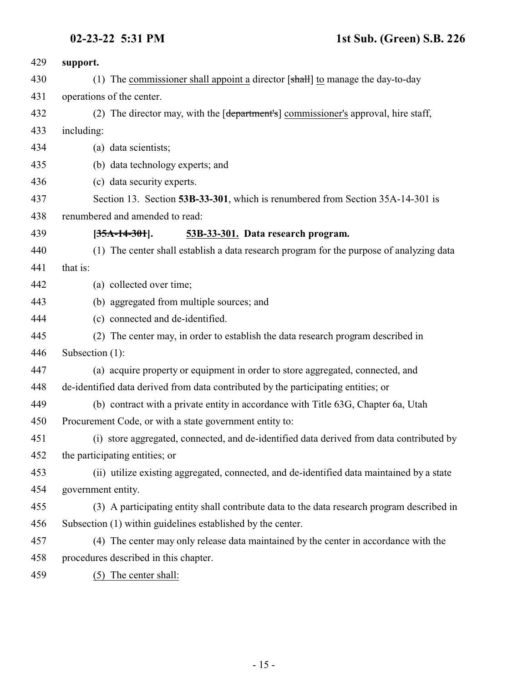<span id="page-14-0"></span>

| 429 | support.                                                                                        |
|-----|-------------------------------------------------------------------------------------------------|
| 430 | (1) The commissioner shall appoint a director $[\text{shall}]$ to manage the day-to-day         |
| 431 | operations of the center.                                                                       |
| 432 | (2) The director may, with the [ <del>department's</del> ] commissioner's approval, hire staff, |
| 433 | including:                                                                                      |
| 434 | (a) data scientists;                                                                            |
| 435 | (b) data technology experts; and                                                                |
| 436 | (c) data security experts.                                                                      |
| 437 | Section 13. Section 53B-33-301, which is renumbered from Section 35A-14-301 is                  |
| 438 | renumbered and amended to read:                                                                 |
| 439 | $[35A-14-301]$ .<br>53B-33-301. Data research program.                                          |
| 440 | (1) The center shall establish a data research program for the purpose of analyzing data        |
| 441 | that is:                                                                                        |
| 442 | (a) collected over time;                                                                        |
| 443 | (b) aggregated from multiple sources; and                                                       |
| 444 | (c) connected and de-identified.                                                                |
| 445 | (2) The center may, in order to establish the data research program described in                |
| 446 | Subsection (1):                                                                                 |
| 447 | (a) acquire property or equipment in order to store aggregated, connected, and                  |
| 448 | de-identified data derived from data contributed by the participating entities; or              |
| 449 | (b) contract with a private entity in accordance with Title 63G, Chapter 6a, Utah               |
| 450 | Procurement Code, or with a state government entity to:                                         |
| 451 | (i) store aggregated, connected, and de-identified data derived from data contributed by        |
| 452 | the participating entities; or                                                                  |
| 453 | (ii) utilize existing aggregated, connected, and de-identified data maintained by a state       |
| 454 | government entity.                                                                              |
| 455 | (3) A participating entity shall contribute data to the data research program described in      |
| 456 | Subsection (1) within guidelines established by the center.                                     |
| 457 | (4) The center may only release data maintained by the center in accordance with the            |
| 458 | procedures described in this chapter.                                                           |
|     |                                                                                                 |

(5) The center shall: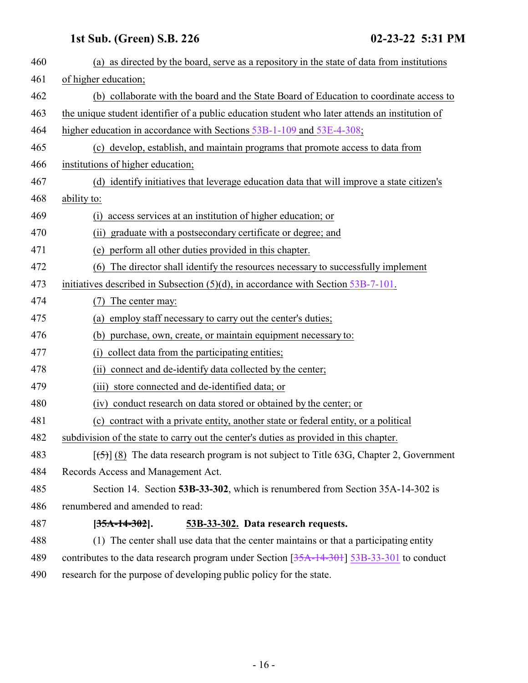<span id="page-15-0"></span>

| 460 | (a) as directed by the board, serve as a repository in the state of data from institutions      |
|-----|-------------------------------------------------------------------------------------------------|
| 461 | of higher education;                                                                            |
| 462 | (b) collaborate with the board and the State Board of Education to coordinate access to         |
| 463 | the unique student identifier of a public education student who later attends an institution of |
| 464 | higher education in accordance with Sections 53B-1-109 and 53E-4-308;                           |
| 465 | (c) develop, establish, and maintain programs that promote access to data from                  |
| 466 | institutions of higher education;                                                               |
| 467 | (d) identify initiatives that leverage education data that will improve a state citizen's       |
| 468 | ability to:                                                                                     |
| 469 | access services at an institution of higher education; or<br>(i)                                |
| 470 | graduate with a postsecondary certificate or degree; and<br>(ii)                                |
| 471 | perform all other duties provided in this chapter.<br>(e)                                       |
| 472 | The director shall identify the resources necessary to successfully implement<br>(6)            |
| 473 | initiatives described in Subsection $(5)(d)$ , in accordance with Section 53B-7-101.            |
| 474 | The center may:<br>(7)                                                                          |
| 475 | employ staff necessary to carry out the center's duties;<br>(a)                                 |
| 476 | (b) purchase, own, create, or maintain equipment necessary to:                                  |
| 477 | collect data from the participating entities;<br>(i)                                            |
| 478 | connect and de-identify data collected by the center;<br>(ii)                                   |
| 479 | store connected and de-identified data; or<br>(iii)                                             |
| 480 | conduct research on data stored or obtained by the center; or<br>(iv)                           |
| 481 | contract with a private entity, another state or federal entity, or a political<br>(c)          |
| 482 | subdivision of the state to carry out the center's duties as provided in this chapter.          |
| 483 | $[5]$ (8) The data research program is not subject to Title 63G, Chapter 2, Government          |
| 484 | Records Access and Management Act.                                                              |
| 485 | Section 14. Section 53B-33-302, which is renumbered from Section 35A-14-302 is                  |
| 486 | renumbered and amended to read:                                                                 |
| 487 | 53B-33-302. Data research requests.<br>$[35A-14-302]$ .                                         |
| 488 | (1) The center shall use data that the center maintains or that a participating entity          |
| 489 | contributes to the data research program under Section [35A-14-301] 53B-33-301 to conduct       |
| 490 | research for the purpose of developing public policy for the state.                             |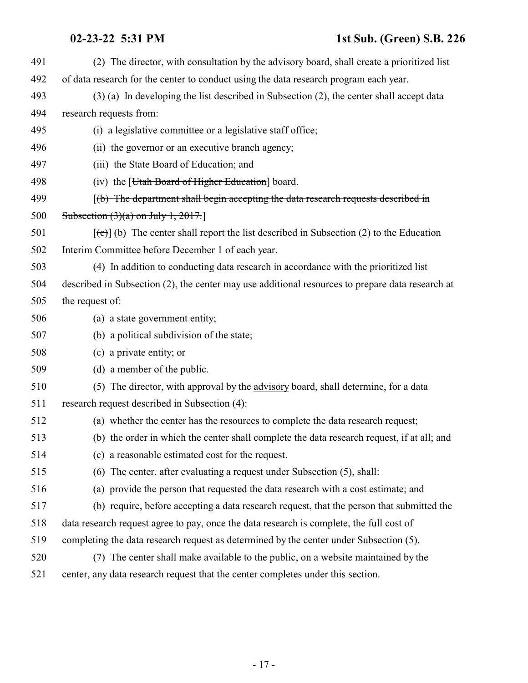| 491 | (2) The director, with consultation by the advisory board, shall create a prioritized list        |
|-----|---------------------------------------------------------------------------------------------------|
| 492 | of data research for the center to conduct using the data research program each year.             |
| 493 | $(3)$ (a) In developing the list described in Subsection (2), the center shall accept data        |
| 494 | research requests from:                                                                           |
| 495 | (i) a legislative committee or a legislative staff office;                                        |
| 496 | (ii) the governor or an executive branch agency;                                                  |
| 497 | (iii) the State Board of Education; and                                                           |
| 498 | (iv) the [ <i>Utah Board of Higher Education</i> ] board.                                         |
| 499 | $(f(b)$ The department shall begin accepting the data research requests described in              |
| 500 | Subsection $(3)(a)$ on July 1, 2017.                                                              |
| 501 | $[\text{(-c)}]$ (b) The center shall report the list described in Subsection (2) to the Education |
| 502 | Interim Committee before December 1 of each year.                                                 |
| 503 | (4) In addition to conducting data research in accordance with the prioritized list               |
| 504 | described in Subsection (2), the center may use additional resources to prepare data research at  |
| 505 | the request of:                                                                                   |
| 506 | (a) a state government entity;                                                                    |
| 507 | (b) a political subdivision of the state;                                                         |
| 508 | (c) a private entity; or                                                                          |
| 509 | (d) a member of the public.                                                                       |
| 510 | (5) The director, with approval by the advisory board, shall determine, for a data                |
| 511 | research request described in Subsection (4):                                                     |
| 512 | (a) whether the center has the resources to complete the data research request;                   |
| 513 | (b) the order in which the center shall complete the data research request, if at all; and        |
| 514 | (c) a reasonable estimated cost for the request.                                                  |
| 515 | The center, after evaluating a request under Subsection (5), shall:<br>(6)                        |
| 516 | (a) provide the person that requested the data research with a cost estimate; and                 |
| 517 | (b) require, before accepting a data research request, that the person that submitted the         |
| 518 | data research request agree to pay, once the data research is complete, the full cost of          |
| 519 | completing the data research request as determined by the center under Subsection (5).            |
| 520 | (7) The center shall make available to the public, on a website maintained by the                 |
| 521 | center, any data research request that the center completes under this section.                   |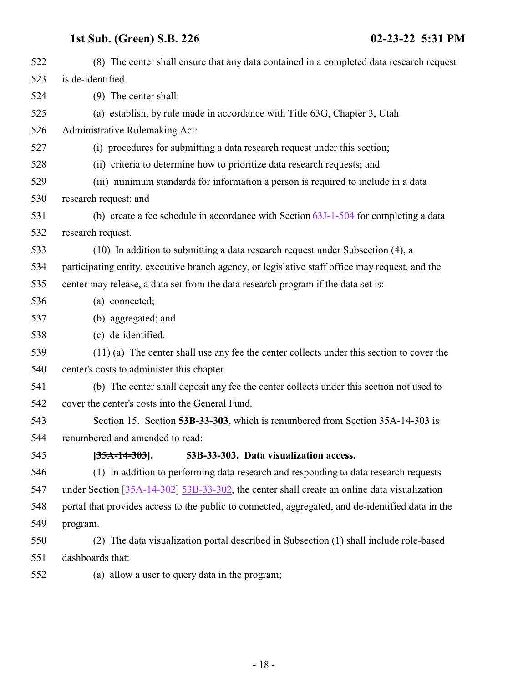<span id="page-17-0"></span>

| 522 | (8) The center shall ensure that any data contained in a completed data research request          |
|-----|---------------------------------------------------------------------------------------------------|
| 523 | is de-identified.                                                                                 |
| 524 | (9) The center shall:                                                                             |
| 525 | (a) establish, by rule made in accordance with Title 63G, Chapter 3, Utah                         |
| 526 | Administrative Rulemaking Act:                                                                    |
| 527 | (i) procedures for submitting a data research request under this section;                         |
| 528 | (ii) criteria to determine how to prioritize data research requests; and                          |
| 529 | (iii) minimum standards for information a person is required to include in a data                 |
| 530 | research request; and                                                                             |
| 531 | (b) create a fee schedule in accordance with Section $63J-1-504$ for completing a data            |
| 532 | research request.                                                                                 |
| 533 | (10) In addition to submitting a data research request under Subsection (4), a                    |
| 534 | participating entity, executive branch agency, or legislative staff office may request, and the   |
| 535 | center may release, a data set from the data research program if the data set is:                 |
| 536 | (a) connected;                                                                                    |
| 537 | (b) aggregated; and                                                                               |
| 538 | (c) de-identified.                                                                                |
| 539 | $(11)$ (a) The center shall use any fee the center collects under this section to cover the       |
| 540 | center's costs to administer this chapter.                                                        |
| 541 | (b) The center shall deposit any fee the center collects under this section not used to           |
| 542 | cover the center's costs into the General Fund.                                                   |
| 543 | Section 15. Section 53B-33-303, which is renumbered from Section 35A-14-303 is                    |
| 544 | renumbered and amended to read:                                                                   |
| 545 | $[35A-14-303]$ .<br>53B-33-303. Data visualization access.                                        |
| 546 | (1) In addition to performing data research and responding to data research requests              |
| 547 | under Section $[35A-14-302]$ 53B-33-302, the center shall create an online data visualization     |
| 548 | portal that provides access to the public to connected, aggregated, and de-identified data in the |
| 549 | program.                                                                                          |
| 550 | (2) The data visualization portal described in Subsection (1) shall include role-based            |
| 551 | dashboards that:                                                                                  |
| 552 | (a) allow a user to query data in the program;                                                    |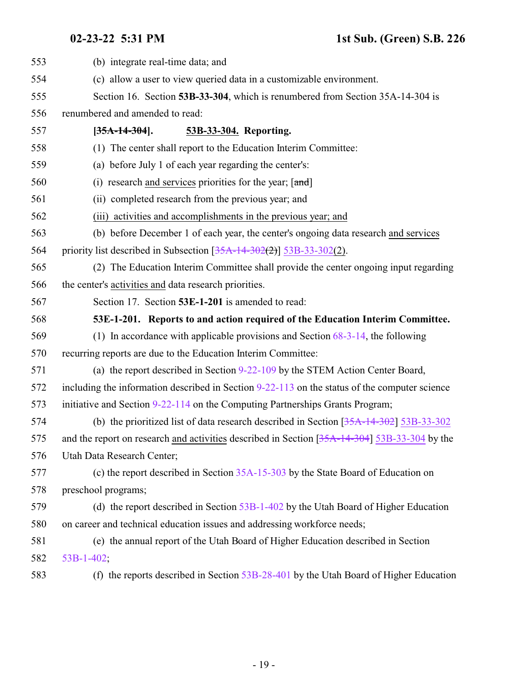<span id="page-18-1"></span><span id="page-18-0"></span>

| 553 | (b) integrate real-time data; and                                                               |
|-----|-------------------------------------------------------------------------------------------------|
| 554 | (c) allow a user to view queried data in a customizable environment.                            |
| 555 | Section 16. Section 53B-33-304, which is renumbered from Section 35A-14-304 is                  |
| 556 | renumbered and amended to read:                                                                 |
| 557 | $[35A-14-304]$ .<br>53B-33-304. Reporting.                                                      |
| 558 | (1) The center shall report to the Education Interim Committee:                                 |
| 559 | (a) before July 1 of each year regarding the center's:                                          |
| 560 | (i) research and services priorities for the year; $\lceil \frac{and}{\rceil} \rceil$           |
| 561 | (ii) completed research from the previous year; and                                             |
| 562 | (iii) activities and accomplishments in the previous year; and                                  |
| 563 | (b) before December 1 of each year, the center's ongoing data research and services             |
| 564 | priority list described in Subsection $[35A-14-302(2)]$ 53B-33-302(2).                          |
| 565 | (2) The Education Interim Committee shall provide the center ongoing input regarding            |
| 566 | the center's activities and data research priorities.                                           |
| 567 | Section 17. Section 53E-1-201 is amended to read:                                               |
| 568 | 53E-1-201. Reports to and action required of the Education Interim Committee.                   |
| 569 | (1) In accordance with applicable provisions and Section $68-3-14$ , the following              |
| 570 | recurring reports are due to the Education Interim Committee:                                   |
| 571 | (a) the report described in Section 9-22-109 by the STEM Action Center Board,                   |
| 572 | including the information described in Section $9-22-113$ on the status of the computer science |
| 573 | initiative and Section 9-22-114 on the Computing Partnerships Grants Program;                   |
| 574 | (b) the prioritized list of data research described in Section $[35A-14-302]$ 53B-33-302        |
| 575 | and the report on research and activities described in Section $[35A-14-304]$ 53B-33-304 by the |
| 576 | Utah Data Research Center;                                                                      |
| 577 | (c) the report described in Section 35A-15-303 by the State Board of Education on               |
| 578 | preschool programs;                                                                             |
| 579 | (d) the report described in Section $53B-1-402$ by the Utah Board of Higher Education           |
| 580 | on career and technical education issues and addressing workforce needs;                        |
| 581 | (e) the annual report of the Utah Board of Higher Education described in Section                |
| 582 | 53B-1-402;                                                                                      |
| 583 | (f) the reports described in Section $53B-28-401$ by the Utah Board of Higher Education         |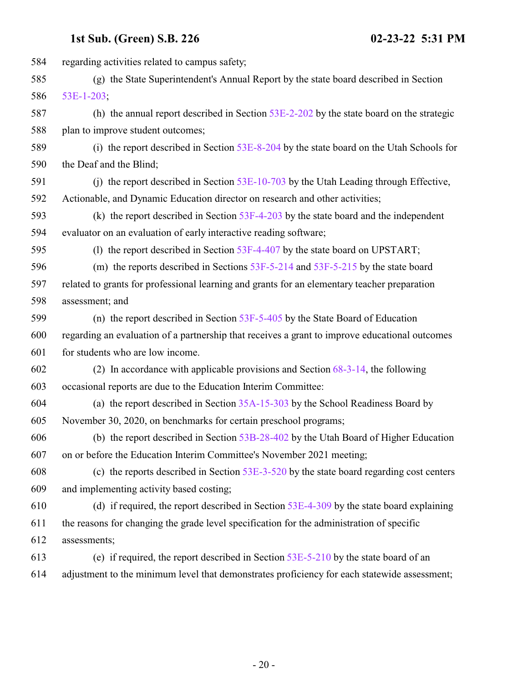| 584 | regarding activities related to campus safety;                                                 |
|-----|------------------------------------------------------------------------------------------------|
| 585 | (g) the State Superintendent's Annual Report by the state board described in Section           |
| 586 | 53E-1-203;                                                                                     |
| 587 | (h) the annual report described in Section $53E-2-202$ by the state board on the strategic     |
| 588 | plan to improve student outcomes;                                                              |
| 589 | (i) the report described in Section 53E-8-204 by the state board on the Utah Schools for       |
| 590 | the Deaf and the Blind;                                                                        |
| 591 | (j) the report described in Section $53E-10-703$ by the Utah Leading through Effective,        |
| 592 | Actionable, and Dynamic Education director on research and other activities;                   |
| 593 | (k) the report described in Section $53F-4-203$ by the state board and the independent         |
| 594 | evaluator on an evaluation of early interactive reading software;                              |
| 595 | (1) the report described in Section 53F-4-407 by the state board on UPSTART;                   |
| 596 | (m) the reports described in Sections $53F-5-214$ and $53F-5-215$ by the state board           |
| 597 | related to grants for professional learning and grants for an elementary teacher preparation   |
| 598 | assessment; and                                                                                |
| 599 | (n) the report described in Section $53F-5-405$ by the State Board of Education                |
| 600 | regarding an evaluation of a partnership that receives a grant to improve educational outcomes |
| 601 | for students who are low income.                                                               |
| 602 | (2) In accordance with applicable provisions and Section $68-3-14$ , the following             |
| 603 | occasional reports are due to the Education Interim Committee:                                 |
| 604 | (a) the report described in Section $35A-15-303$ by the School Readiness Board by              |
| 605 | November 30, 2020, on benchmarks for certain preschool programs;                               |
| 606 | (b) the report described in Section 53B-28-402 by the Utah Board of Higher Education           |
| 607 | on or before the Education Interim Committee's November 2021 meeting;                          |
| 608 | (c) the reports described in Section $53E-3-520$ by the state board regarding cost centers     |
| 609 | and implementing activity based costing;                                                       |
| 610 | (d) if required, the report described in Section $53E-4-309$ by the state board explaining     |
| 611 | the reasons for changing the grade level specification for the administration of specific      |
| 612 | assessments;                                                                                   |
| 613 | (e) if required, the report described in Section $53E-5-210$ by the state board of an          |
| 614 | adjustment to the minimum level that demonstrates proficiency for each statewide assessment;   |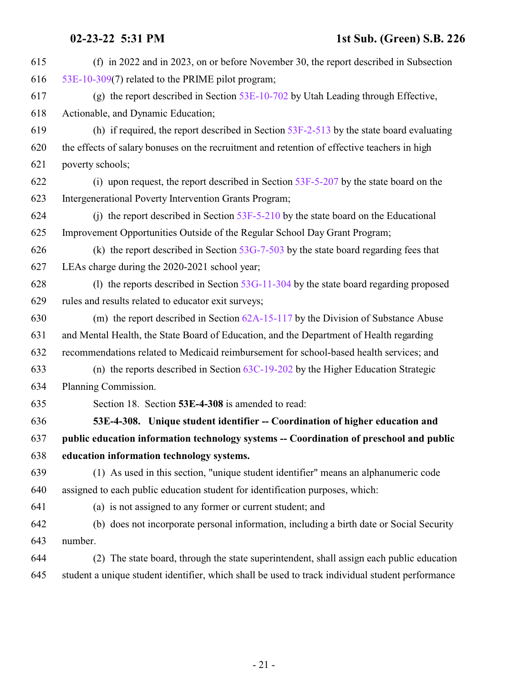<span id="page-20-0"></span>

| 615 | (f) in 2022 and in 2023, on or before November 30, the report described in Subsection            |
|-----|--------------------------------------------------------------------------------------------------|
| 616 | 53E-10-309(7) related to the PRIME pilot program;                                                |
| 617 | (g) the report described in Section $53E-10-702$ by Utah Leading through Effective,              |
| 618 | Actionable, and Dynamic Education;                                                               |
| 619 | (h) if required, the report described in Section $53F-2-513$ by the state board evaluating       |
| 620 | the effects of salary bonuses on the recruitment and retention of effective teachers in high     |
| 621 | poverty schools;                                                                                 |
| 622 | (i) upon request, the report described in Section $53F-5-207$ by the state board on the          |
| 623 | Intergenerational Poverty Intervention Grants Program;                                           |
| 624 | (i) the report described in Section $53F-5-210$ by the state board on the Educational            |
| 625 | Improvement Opportunities Outside of the Regular School Day Grant Program;                       |
| 626 | (k) the report described in Section $53G-7-503$ by the state board regarding fees that           |
| 627 | LEAs charge during the 2020-2021 school year;                                                    |
| 628 | (1) the reports described in Section $53G-11-304$ by the state board regarding proposed          |
| 629 | rules and results related to educator exit surveys;                                              |
| 630 | (m) the report described in Section $62A-15-117$ by the Division of Substance Abuse              |
| 631 | and Mental Health, the State Board of Education, and the Department of Health regarding          |
| 632 | recommendations related to Medicaid reimbursement for school-based health services; and          |
| 633 | (n) the reports described in Section $63C-19-202$ by the Higher Education Strategic              |
| 634 | Planning Commission.                                                                             |
| 635 | Section 18. Section 53E-4-308 is amended to read:                                                |
| 636 | 53E-4-308. Unique student identifier -- Coordination of higher education and                     |
| 637 | public education information technology systems -- Coordination of preschool and public          |
| 638 | education information technology systems.                                                        |
| 639 | (1) As used in this section, "unique student identifier" means an alphanumeric code              |
| 640 | assigned to each public education student for identification purposes, which:                    |
| 641 | (a) is not assigned to any former or current student; and                                        |
| 642 | (b) does not incorporate personal information, including a birth date or Social Security         |
| 643 | number.                                                                                          |
| 644 | The state board, through the state superintendent, shall assign each public education<br>(2)     |
| 645 | student a unique student identifier, which shall be used to track individual student performance |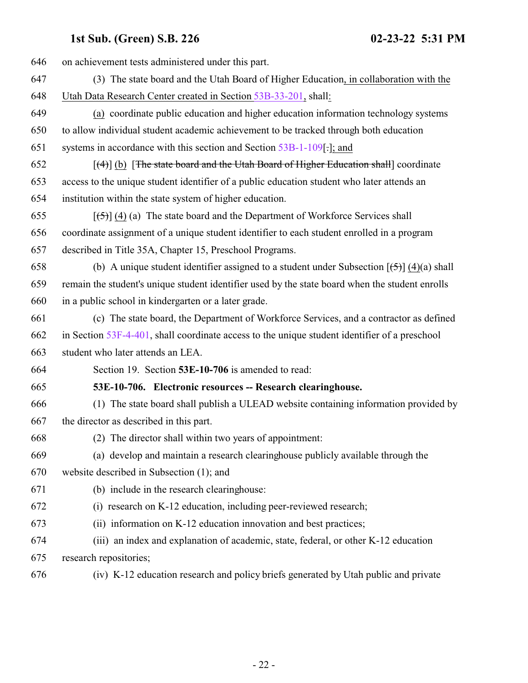<span id="page-21-0"></span>

| 646 | on achievement tests administered under this part.                                                  |
|-----|-----------------------------------------------------------------------------------------------------|
| 647 | (3) The state board and the Utah Board of Higher Education, in collaboration with the               |
| 648 | Utah Data Research Center created in Section 53B-33-201, shall:                                     |
| 649 | (a) coordinate public education and higher education information technology systems                 |
| 650 | to allow individual student academic achievement to be tracked through both education               |
| 651 | systems in accordance with this section and Section 53B-1-109[.]; and                               |
| 652 | $\lceil (4) \rceil$ (b) The state board and the Utah Board of Higher Education shall coordinate     |
| 653 | access to the unique student identifier of a public education student who later attends an          |
| 654 | institution within the state system of higher education.                                            |
| 655 | $\left[\frac{5}{5}\right]$ (4) (a) The state board and the Department of Workforce Services shall   |
| 656 | coordinate assignment of a unique student identifier to each student enrolled in a program          |
| 657 | described in Title 35A, Chapter 15, Preschool Programs.                                             |
| 658 | (b) A unique student identifier assigned to a student under Subsection $[\frac{5}{2}]$ (4)(a) shall |
| 659 | remain the student's unique student identifier used by the state board when the student enrolls     |
| 660 | in a public school in kindergarten or a later grade.                                                |
| 661 | (c) The state board, the Department of Workforce Services, and a contractor as defined              |
| 662 | in Section $53F-4-401$ , shall coordinate access to the unique student identifier of a preschool    |
| 663 | student who later attends an LEA.                                                                   |
| 664 | Section 19. Section 53E-10-706 is amended to read:                                                  |
| 665 | 53E-10-706. Electronic resources -- Research clearinghouse.                                         |
| 666 | (1) The state board shall publish a ULEAD website containing information provided by                |
| 667 | the director as described in this part.                                                             |
| 668 | (2) The director shall within two years of appointment:                                             |
| 669 | (a) develop and maintain a research clearinghouse publicly available through the                    |
| 670 | website described in Subsection (1); and                                                            |
| 671 | (b) include in the research clearinghouse:                                                          |
| 672 | (i) research on K-12 education, including peer-reviewed research;                                   |
| 673 | (ii) information on K-12 education innovation and best practices;                                   |
| 674 | (iii) an index and explanation of academic, state, federal, or other K-12 education                 |
| 675 | research repositories;                                                                              |
| 676 | (iv) K-12 education research and policy briefs generated by Utah public and private                 |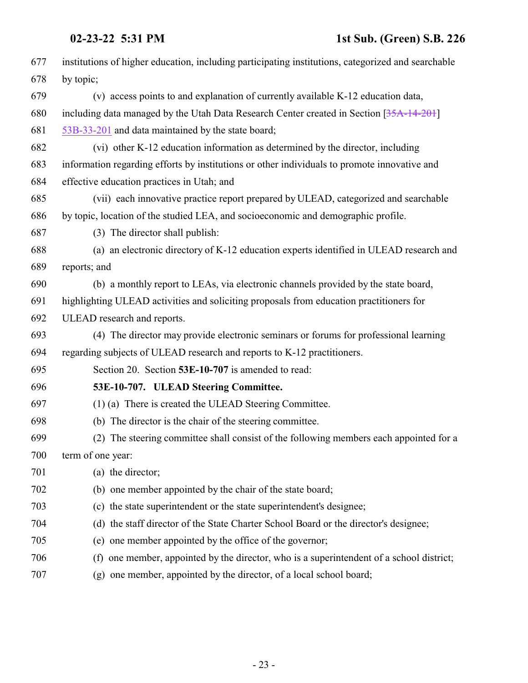| 677 | institutions of higher education, including participating institutions, categorized and searchable |
|-----|----------------------------------------------------------------------------------------------------|
| 678 | by topic;                                                                                          |
| 679 | (v) access points to and explanation of currently available K-12 education data,                   |
| 680 | including data managed by the Utah Data Research Center created in Section [35A-14-201]            |
| 681 | 53B-33-201 and data maintained by the state board;                                                 |
| 682 | (vi) other K-12 education information as determined by the director, including                     |
| 683 | information regarding efforts by institutions or other individuals to promote innovative and       |
| 684 | effective education practices in Utah; and                                                         |
| 685 | (vii) each innovative practice report prepared by ULEAD, categorized and searchable                |
| 686 | by topic, location of the studied LEA, and socioeconomic and demographic profile.                  |
| 687 | (3) The director shall publish:                                                                    |
| 688 | (a) an electronic directory of K-12 education experts identified in ULEAD research and             |
| 689 | reports; and                                                                                       |
| 690 | (b) a monthly report to LEAs, via electronic channels provided by the state board,                 |
| 691 | highlighting ULEAD activities and soliciting proposals from education practitioners for            |
| 692 | ULEAD research and reports.                                                                        |
| 693 | (4) The director may provide electronic seminars or forums for professional learning               |
| 694 | regarding subjects of ULEAD research and reports to K-12 practitioners.                            |
| 695 | Section 20. Section 53E-10-707 is amended to read:                                                 |
| 696 | 53E-10-707. ULEAD Steering Committee.                                                              |
| 697 | (1) (a) There is created the ULEAD Steering Committee.                                             |
| 698 | (b) The director is the chair of the steering committee.                                           |
| 699 | (2) The steering committee shall consist of the following members each appointed for a             |
| 700 | term of one year:                                                                                  |
| 701 | (a) the director;                                                                                  |
| 702 | (b) one member appointed by the chair of the state board;                                          |
| 703 | (c) the state superintendent or the state superintendent's designee;                               |
| 704 | (d) the staff director of the State Charter School Board or the director's designee;               |
| 705 | (e) one member appointed by the office of the governor;                                            |
| 706 | (f) one member, appointed by the director, who is a superintendent of a school district;           |
| 707 | (a) and momber appointed by the dimension of a local school board.                                 |

<span id="page-22-0"></span>(g) one member, appointed by the director, of a local school board;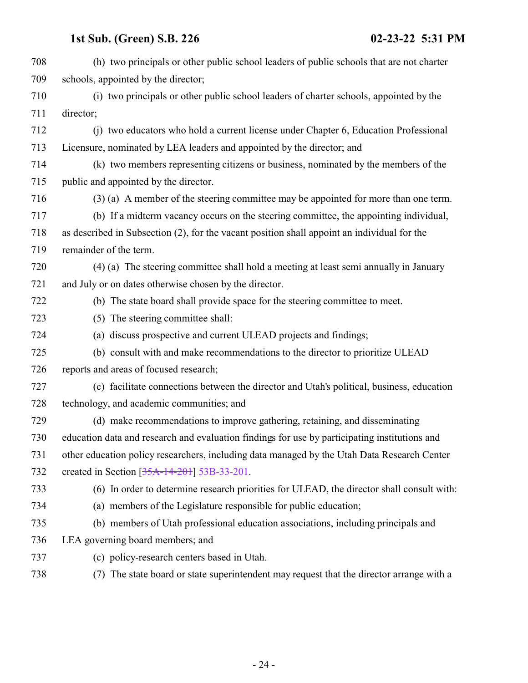| 708 | (h) two principals or other public school leaders of public schools that are not charter      |
|-----|-----------------------------------------------------------------------------------------------|
| 709 | schools, appointed by the director;                                                           |
| 710 | (i) two principals or other public school leaders of charter schools, appointed by the        |
| 711 | director;                                                                                     |
| 712 | (i) two educators who hold a current license under Chapter 6, Education Professional          |
| 713 | Licensure, nominated by LEA leaders and appointed by the director; and                        |
| 714 | (k) two members representing citizens or business, nominated by the members of the            |
| 715 | public and appointed by the director.                                                         |
| 716 | (3) (a) A member of the steering committee may be appointed for more than one term.           |
| 717 | (b) If a midterm vacancy occurs on the steering committee, the appointing individual,         |
| 718 | as described in Subsection (2), for the vacant position shall appoint an individual for the   |
| 719 | remainder of the term.                                                                        |
| 720 | (4) (a) The steering committee shall hold a meeting at least semi annually in January         |
| 721 | and July or on dates otherwise chosen by the director.                                        |
| 722 | (b) The state board shall provide space for the steering committee to meet.                   |
| 723 | (5) The steering committee shall:                                                             |
| 724 | (a) discuss prospective and current ULEAD projects and findings;                              |
| 725 | (b) consult with and make recommendations to the director to prioritize ULEAD                 |
| 726 | reports and areas of focused research;                                                        |
| 727 | (c) facilitate connections between the director and Utah's political, business, education     |
| 728 | technology, and academic communities; and                                                     |
| 729 | (d) make recommendations to improve gathering, retaining, and disseminating                   |
| 730 | education data and research and evaluation findings for use by participating institutions and |
| 731 | other education policy researchers, including data managed by the Utah Data Research Center   |
| 732 | created in Section [35A-14-201] 53B-33-201.                                                   |
| 733 | (6) In order to determine research priorities for ULEAD, the director shall consult with:     |
| 734 | (a) members of the Legislature responsible for public education;                              |
| 735 | (b) members of Utah professional education associations, including principals and             |
| 736 | LEA governing board members; and                                                              |
| 737 | (c) policy-research centers based in Utah.                                                    |
| 738 | (7) The state board or state superintendent may request that the director arrange with a      |